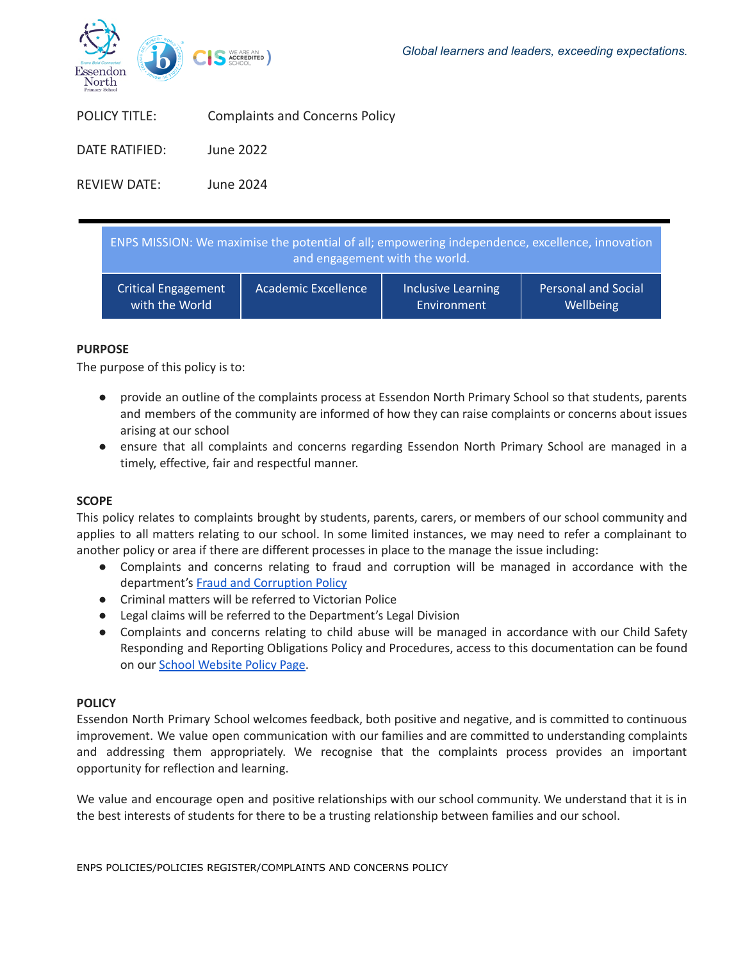

| <b>POLICY TITLE:</b> | <b>Complaints and Concerns Policy</b> |
|----------------------|---------------------------------------|
| DATE RATIFIED:       | June 2022                             |

REVIEW DATE: June 2024

| ENPS MISSION: We maximise the potential of all; empowering independence, excellence, innovation<br>and engagement with the world. |                     |                           |                            |  |
|-----------------------------------------------------------------------------------------------------------------------------------|---------------------|---------------------------|----------------------------|--|
| <b>Critical Engagement</b>                                                                                                        | Academic Excellence | <b>Inclusive Learning</b> | <b>Personal and Social</b> |  |
| with the World                                                                                                                    |                     | Environment               | Wellbeing                  |  |

# **PURPOSE**

The purpose of this policy is to:

- provide an outline of the complaints process at Essendon North Primary School so that students, parents and members of the community are informed of how they can raise complaints or concerns about issues arising at our school
- ensure that all complaints and concerns regarding Essendon North Primary School are managed in a timely, effective, fair and respectful manner.

# **SCOPE**

This policy relates to complaints brought by students, parents, carers, or members of our school community and applies to all matters relating to our school. In some limited instances, we may need to refer a complainant to another policy or area if there are different processes in place to the manage the issue including:

- Complaints and concerns relating to fraud and corruption will be managed in accordance with the department's Fraud and [Corruption](https://www2.education.vic.gov.au/pal/report-fraud-or-corruption/overview) Policy
- Criminal matters will be referred to Victorian Police
- Legal claims will be referred to the Department's Legal Division
- Complaints and concerns relating to child abuse will be managed in accordance with our Child Safety Responding and Reporting Obligations Policy and Procedures, access to this documentation can be found on our School [Website](https://www.enps.vic.edu.au/policies-page) Policy Page.

# **POLICY**

Essendon North Primary School welcomes feedback, both positive and negative, and is committed to continuous improvement. We value open communication with our families and are committed to understanding complaints and addressing them appropriately. We recognise that the complaints process provides an important opportunity for reflection and learning.

We value and encourage open and positive relationships with our school community. We understand that it is in the best interests of students for there to be a trusting relationship between families and our school.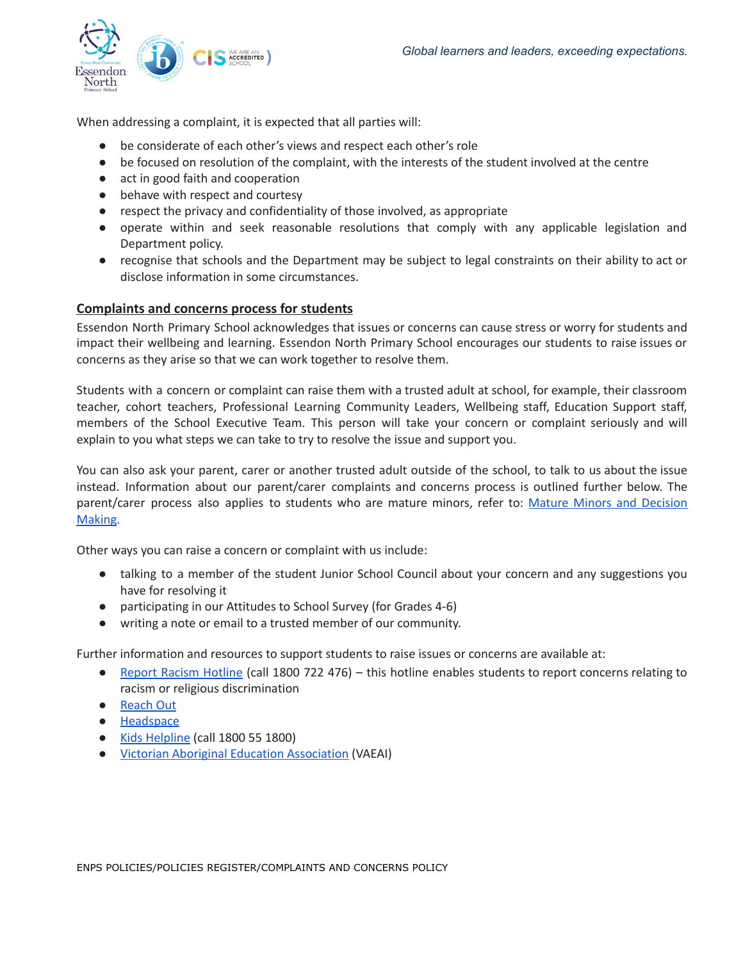

When addressing a complaint, it is expected that all parties will:

- be considerate of each other's views and respect each other's role
- be focused on resolution of the complaint, with the interests of the student involved at the centre
- act in good faith and cooperation
- behave with respect and courtesy
- respect the privacy and confidentiality of those involved, as appropriate
- operate within and seek reasonable resolutions that comply with any applicable legislation and Department policy.
- recognise that schools and the Department may be subject to legal constraints on their ability to act or disclose information in some circumstances.

# **Complaints and concerns process for students**

Essendon North Primary School acknowledges that issues or concerns can cause stress or worry for students and impact their wellbeing and learning. Essendon North Primary School encourages our students to raise issues or concerns as they arise so that we can work together to resolve them.

Students with a concern or complaint can raise them with a trusted adult at school, for example, their classroom teacher, cohort teachers, Professional Learning Community Leaders, Wellbeing staff, Education Support staff, members of the School Executive Team. This person will take your concern or complaint seriously and will explain to you what steps we can take to try to resolve the issue and support you.

You can also ask your parent, carer or another trusted adult outside of the school, to talk to us about the issue instead. Information about our parent/carer complaints and concerns process is outlined further below. The parent/carer process also applies to students who are mature minors, refer to: Mature Minors and [Decision](https://www2.education.vic.gov.au/pal/mature-minors-and-decision-making/policy) [Making](https://www2.education.vic.gov.au/pal/mature-minors-and-decision-making/policy).

Other ways you can raise a concern or complaint with us include:

- talking to a member of the student Junior School Council about your concern and any suggestions you have for resolving it
- participating in our Attitudes to School Survey (for Grades 4-6)
- writing a note or email to a trusted member of our community.

Further information and resources to support students to raise issues or concerns are available at:

- Report Racism [Hotline](https://www.vic.gov.au/report-racism-or-religious-discrimination-schools) (call 1800 722 476) this hotline enables students to report concerns relating to racism or religious discrimination
- [Reach](https://au.reachout.com/?gclid=CjwKCAiAgbiQBhAHEiwAuQ6BktaB5xneGFK3TnOql5c5eZ7af7dDm9ffLZa7N59FEtbtQzVIk8sGWhoC8N0QAvD_BwE) Out
- [Headspace](https://headspace.org.au/)
- Kids [Helpline](https://kidshelpline.com.au/?gclid=CjwKCAiAgbiQBhAHEiwAuQ6Bkro6UD2EBcRILznFnRhKjfi5I84jJlUa0fyiiYLQ4mHx5sXTStxH8BoCCEIQAvD_BwE) (call 1800 55 1800)
- Victorian Aboriginal Education [Association](https://www.vaeai.org.au/) (VAEAI)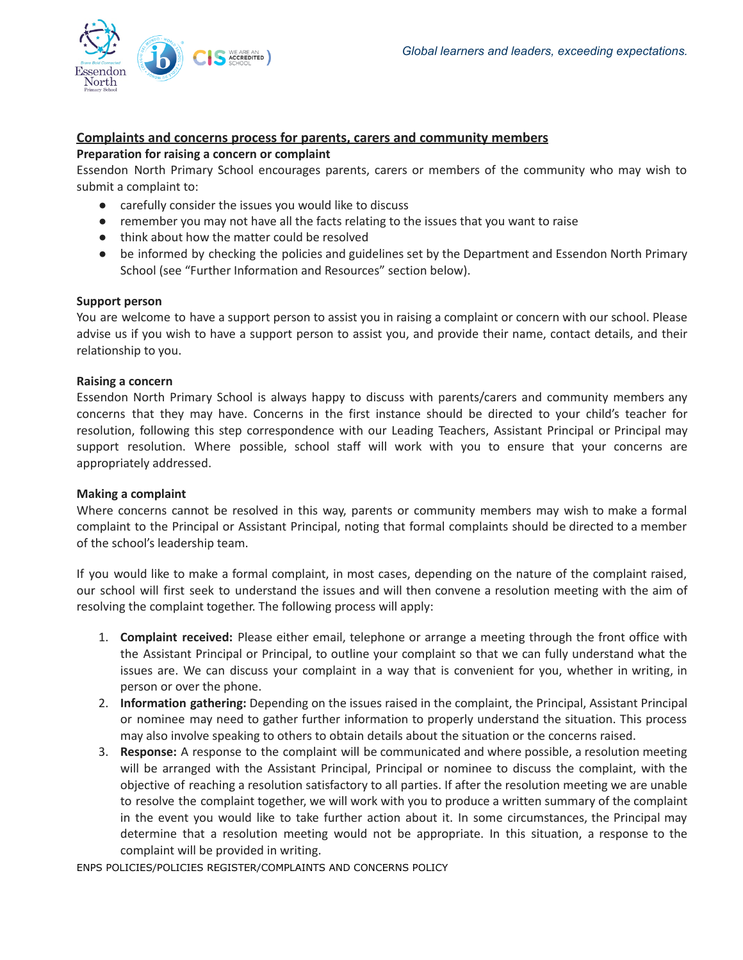

# **Complaints and concerns process for parents, carers and community members**

### **Preparation for raising a concern or complaint**

Essendon North Primary School encourages parents, carers or members of the community who may wish to submit a complaint to:

- carefully consider the issues you would like to discuss
- remember you may not have all the facts relating to the issues that you want to raise
- think about how the matter could be resolved
- be informed by checking the policies and guidelines set by the Department and Essendon North Primary School (see "Further Information and Resources" section below).

### **Support person**

You are welcome to have a support person to assist you in raising a complaint or concern with our school. Please advise us if you wish to have a support person to assist you, and provide their name, contact details, and their relationship to you.

### **Raising a concern**

Essendon North Primary School is always happy to discuss with parents/carers and community members any concerns that they may have. Concerns in the first instance should be directed to your child's teacher for resolution, following this step correspondence with our Leading Teachers, Assistant Principal or Principal may support resolution. Where possible, school staff will work with you to ensure that your concerns are appropriately addressed.

#### **Making a complaint**

Where concerns cannot be resolved in this way, parents or community members may wish to make a formal complaint to the Principal or Assistant Principal, noting that formal complaints should be directed to a member of the school's leadership team.

If you would like to make a formal complaint, in most cases, depending on the nature of the complaint raised, our school will first seek to understand the issues and will then convene a resolution meeting with the aim of resolving the complaint together. The following process will apply:

- 1. **Complaint received:** Please either email, telephone or arrange a meeting through the front office with the Assistant Principal or Principal, to outline your complaint so that we can fully understand what the issues are. We can discuss your complaint in a way that is convenient for you, whether in writing, in person or over the phone.
- 2. **Information gathering:** Depending on the issues raised in the complaint, the Principal, Assistant Principal or nominee may need to gather further information to properly understand the situation. This process may also involve speaking to others to obtain details about the situation or the concerns raised.
- 3. **Response:** A response to the complaint will be communicated and where possible, a resolution meeting will be arranged with the Assistant Principal, Principal or nominee to discuss the complaint, with the objective of reaching a resolution satisfactory to all parties. If after the resolution meeting we are unable to resolve the complaint together, we will work with you to produce a written summary of the complaint in the event you would like to take further action about it. In some circumstances, the Principal may determine that a resolution meeting would not be appropriate. In this situation, a response to the complaint will be provided in writing.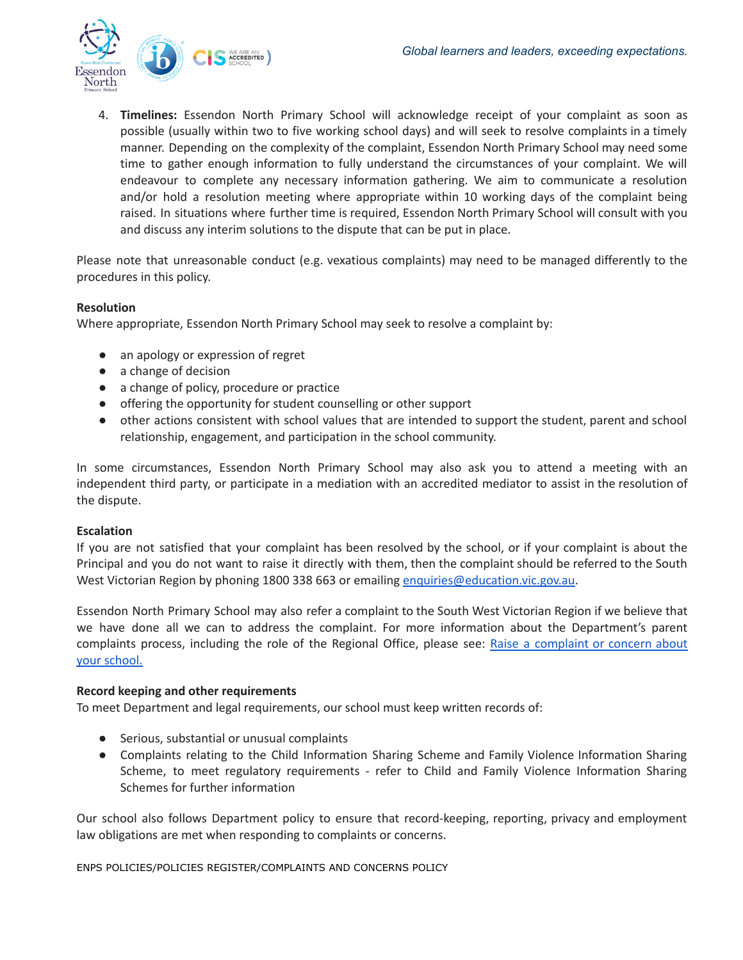

4. **Timelines:** Essendon North Primary School will acknowledge receipt of your complaint as soon as possible (usually within two to five working school days) and will seek to resolve complaints in a timely manner. Depending on the complexity of the complaint, Essendon North Primary School may need some time to gather enough information to fully understand the circumstances of your complaint. We will endeavour to complete any necessary information gathering. We aim to communicate a resolution and/or hold a resolution meeting where appropriate within 10 working days of the complaint being raised. In situations where further time is required, Essendon North Primary School will consult with you and discuss any interim solutions to the dispute that can be put in place.

Please note that unreasonable conduct (e.g. vexatious complaints) may need to be managed differently to the procedures in this policy.

# **Resolution**

Where appropriate, Essendon North Primary School may seek to resolve a complaint by:

- an apology or expression of regret
- a change of decision
- a change of policy, procedure or practice
- offering the opportunity for student counselling or other support
- other actions consistent with school values that are intended to support the student, parent and school relationship, engagement, and participation in the school community.

In some circumstances, Essendon North Primary School may also ask you to attend a meeting with an independent third party, or participate in a mediation with an accredited mediator to assist in the resolution of the dispute.

# **Escalation**

If you are not satisfied that your complaint has been resolved by the school, or if your complaint is about the Principal and you do not want to raise it directly with them, then the complaint should be referred to the South West Victorian Region by phoning 1800 338 663 or emailing [enquiries@education.vic.gov.au](mailto:enquiries@education.vic.gov.au).

Essendon North Primary School may also refer a complaint to the South West Victorian Region if we believe that we have done all we can to address the complaint. For more information about the Department's parent complaints process, including the role of the Regional Office, please see: Raise a [complaint](https://www.vic.gov.au/raise-complaint-or-concern-about-your-school#speaking-to-your-school) or concern about your [school.](https://www.vic.gov.au/raise-complaint-or-concern-about-your-school#speaking-to-your-school)

# **Record keeping and other requirements**

To meet Department and legal requirements, our school must keep written records of:

- Serious, substantial or unusual complaints
- Complaints relating to the Child Information Sharing Scheme and Family Violence Information Sharing Scheme, to meet regulatory requirements - refer to Child and Family Violence Information Sharing Schemes for further information

Our school also follows Department policy to ensure that record-keeping, reporting, privacy and employment law obligations are met when responding to complaints or concerns.